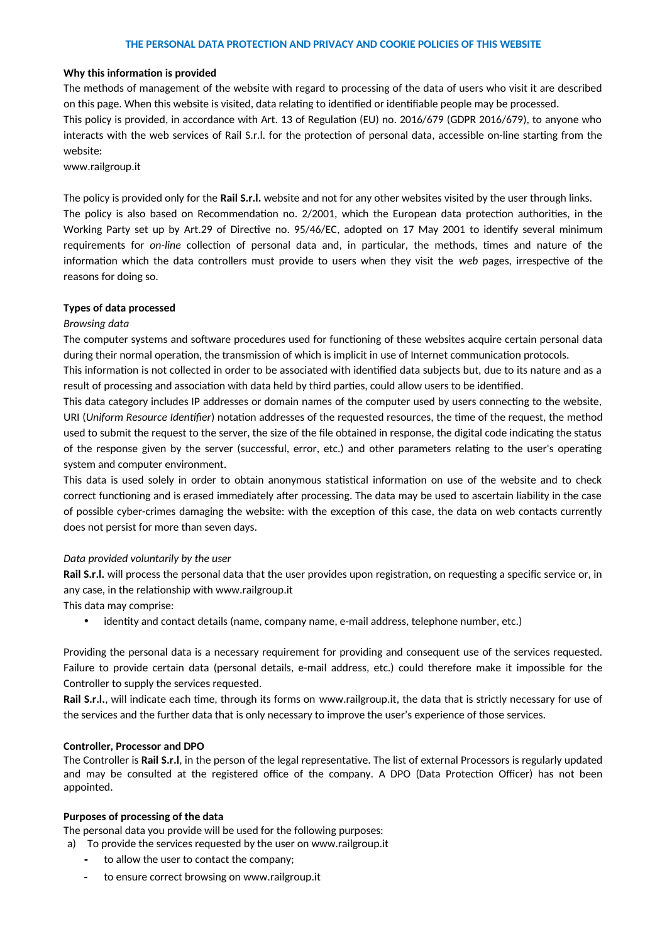## **Why this information is provided**

The methods of management of the website with regard to processing of the data of users who visit it are described on this page. When this website is visited, data relating to identified or identifiable people may be processed.

This policy is provided, in accordance with Art. 13 of Regulation (EU) no. 2016/679 (GDPR 2016/679), to anyone who interacts with the web services of Rail S.r.l. for the protection of personal data, accessible on-line starting from the website:

[www.railgroup.it](http://www.railgroup.it/)

The policy is provided only for the **Rail S.r.l.** website and not for any other websites visited by the user through links. The policy is also based on Recommendation no. 2/2001, which the European data protection authorities, in the Working Party set up by Art.29 of Directive no. 95/46/EC, adopted on 17 May 2001 to identify several minimum requirements for *on-line* collection of personal data and, in particular, the methods, times and nature of the information which the data controllers must provide to users when they visit the *web* pages, irrespective of the reasons for doing so.

# **Types of data processed**

# *Browsing data*

The computer systems and software procedures used for functioning of these websites acquire certain personal data during their normal operation, the transmission of which is implicit in use of Internet communication protocols.

This information is not collected in order to be associated with identified data subjects but, due to its nature and as a result of processing and association with data held by third parties, could allow users to be identified.

This data category includes IP addresses or domain names of the computer used by users connecting to the website, URI (*Uniform Resource Identifier*) notation addresses of the requested resources, the time of the request, the method used to submit the request to the server, the size of the file obtained in response, the digital code indicating the status of the response given by the server (successful, error, etc.) and other parameters relating to the user's operating system and computer environment.

This data is used solely in order to obtain anonymous statistical information on use of the website and to check correct functioning and is erased immediately after processing. The data may be used to ascertain liability in the case of possible cyber-crimes damaging the website: with the exception of this case, the data on web contacts currently does not persist for more than seven days.

# *Data provided voluntarily by the user*

**Rail S.r.l.** will process the personal data that the user provides upon registration, on requesting a specific service or, in any case, in the relationship with www.railgroup.it

This data may comprise:

identity and contact details (name, company name, e-mail address, telephone number, etc.)

Providing the personal data is a necessary requirement for providing and consequent use of the services requested. Failure to provide certain data (personal details, e-mail address, etc.) could therefore make it impossible for the Controller to supply the services requested.

**Rail S.r.l.**, will indicate each time, through its forms on [www.railgroup.it](http://www.railgroup.it/), the data that is strictly necessary for use of the services and the further data that is only necessary to improve the user's experience of those services.

### **Controller, Processor and DPO**

The Controller is **Rail S.r.l**, in the person of the legal representative. The list of external Processors is regularly updated and may be consulted at the registered office of the company. A DPO (Data Protection Officer) has not been appointed.

# **Purposes of processing of the data**

The personal data you provide will be used for the following purposes:

a) To provide the services requested by the user on www.railgroup.it

- **-** to allow the user to contact the company;
- to ensure correct browsing on [www.railgroup.it](http://www.railgroup.it/)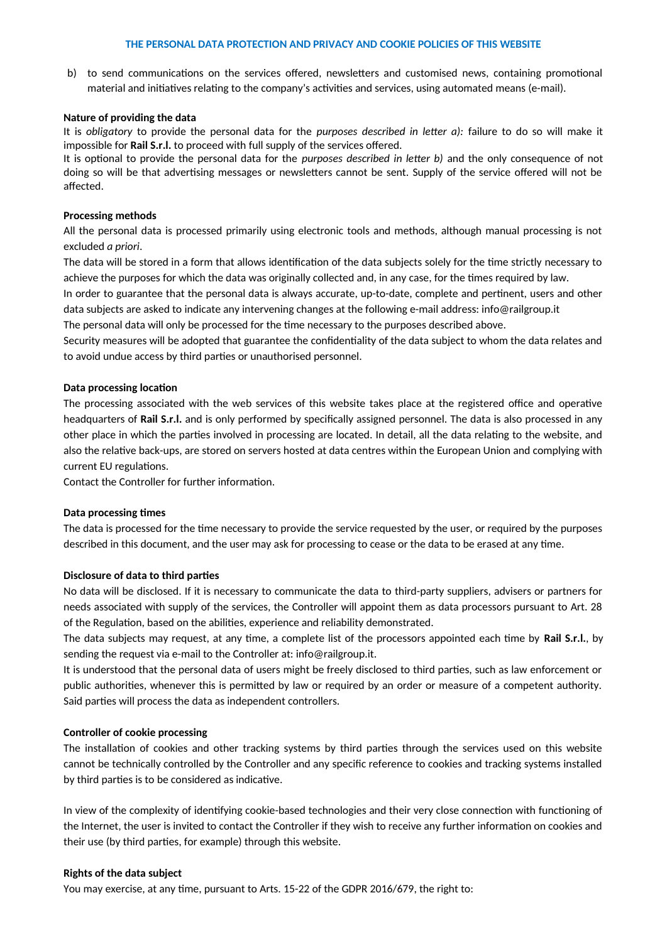b) to send communications on the services offered, newsletters and customised news, containing promotional material and initiatives relating to the company's activities and services, using automated means (e-mail).

## **Nature of providing the data**

It is *obligatory* to provide the personal data for the *purposes described in letter a):* failure to do so will make it impossible for **Rail S.r.l.** to proceed with full supply of the services offered.

It is optional to provide the personal data for the *purposes described in letter b)* and the only consequence of not doing so will be that advertising messages or newsletters cannot be sent. Supply of the service offered will not be affected.

# **Processing methods**

All the personal data is processed primarily using electronic tools and methods, although manual processing is not excluded *a priori*.

The data will be stored in a form that allows identification of the data subjects solely for the time strictly necessary to achieve the purposes for which the data was originally collected and, in any case, for the times required by law.

In order to guarantee that the personal data is always accurate, up-to-date, complete and pertinent, users and other data subjects are asked to indicate any intervening changes at the following e-mail address: info@railgroup.it

The personal data will only be processed for the time necessary to the purposes described above.

Security measures will be adopted that guarantee the confidentiality of the data subject to whom the data relates and to avoid undue access by third parties or unauthorised personnel.

# **Data processing location**

The processing associated with the web services of this website takes place at the registered office and operative headquarters of **Rail S.r.l.** and is only performed by specifically assigned personnel. The data is also processed in any other place in which the parties involved in processing are located. In detail, all the data relating to the website, and also the relative back-ups, are stored on servers hosted at data centres within the European Union and complying with current EU regulations.

Contact the Controller for further information.

# **Data processing times**

The data is processed for the time necessary to provide the service requested by the user, or required by the purposes described in this document, and the user may ask for processing to cease or the data to be erased at any time.

# **Disclosure of data to third parties**

No data will be disclosed. If it is necessary to communicate the data to third-party suppliers, advisers or partners for needs associated with supply of the services, the Controller will appoint them as data processors pursuant to Art. 28 of the Regulation, based on the abilities, experience and reliability demonstrated.

The data subjects may request, at any time, a complete list of the processors appointed each time by **Rail S.r.l.**, by sending the request via e-mail to the Controller at: info@railgroup.it.

It is understood that the personal data of users might be freely disclosed to third parties, such as law enforcement or public authorities, whenever this is permitted by law or required by an order or measure of a competent authority. Said parties will process the data as independent controllers.

### **Controller of cookie processing**

The installation of cookies and other tracking systems by third parties through the services used on this website cannot be technically controlled by the Controller and any specific reference to cookies and tracking systems installed by third parties is to be considered as indicative.

In view of the complexity of identifying cookie-based technologies and their very close connection with functioning of the Internet, the user is invited to contact the Controller if they wish to receive any further information on cookies and their use (by third parties, for example) through this website.

### **Rights of the data subject**

You may exercise, at any time, pursuant to Arts. 15-22 of the GDPR 2016/679, the right to: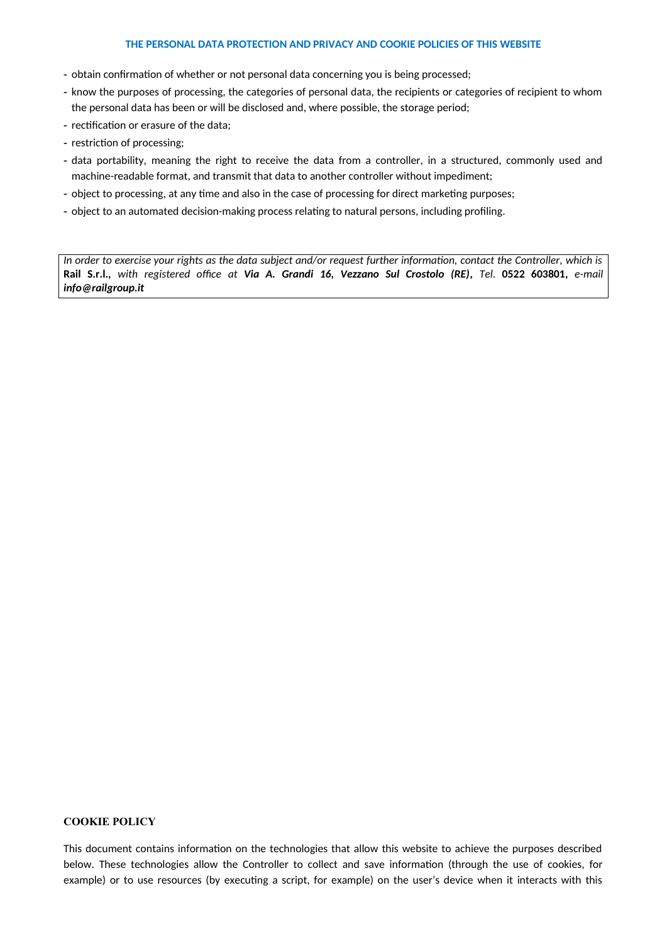- obtain confirmation of whether or not personal data concerning you is being processed;
- know the purposes of processing, the categories of personal data, the recipients or categories of recipient to whom the personal data has been or will be disclosed and, where possible, the storage period;
- rectification or erasure of the data;
- restriction of processing;
- data portability, meaning the right to receive the data from a controller, in a structured, commonly used and machine-readable format, and transmit that data to another controller without impediment;
- object to processing, at any time and also in the case of processing for direct marketing purposes;
- object to an automated decision-making process relating to natural persons, including profiling.

*In order to exercise your rights as the data subject and/or request further information, contact the Controller, which is* **Rail S.r.l.***, with registered office at Via A. Grandi 16, Vezzano Sul Crostolo (RE), Tel*. **0522 603801***, e-mail info@railgroup.it*

#### **COOKIE POLICY**

This document contains information on the technologies that allow this website to achieve the purposes described below. These technologies allow the Controller to collect and save information (through the use of cookies, for example) or to use resources (by executing a script, for example) on the user's device when it interacts with this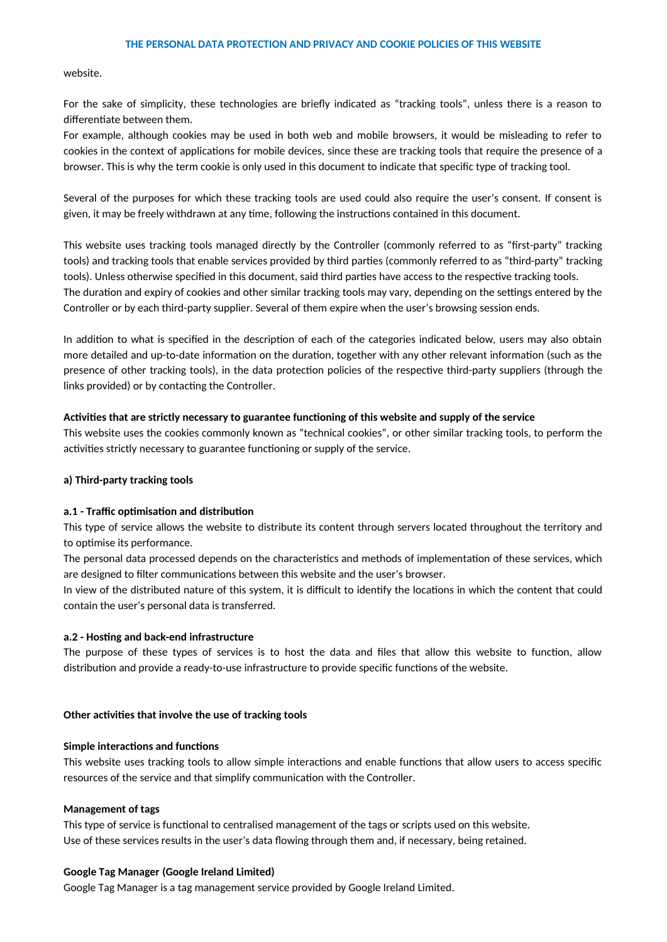website.

For the sake of simplicity, these technologies are briefly indicated as "tracking tools", unless there is a reason to differentiate between them.

For example, although cookies may be used in both web and mobile browsers, it would be misleading to refer to cookies in the context of applications for mobile devices, since these are tracking tools that require the presence of a browser. This is why the term cookie is only used in this document to indicate that specific type of tracking tool.

Several of the purposes for which these tracking tools are used could also require the user's consent. If consent is given, it may be freely withdrawn at any time, following the instructions contained in this document.

This website uses tracking tools managed directly by the Controller (commonly referred to as "first-party" tracking tools) and tracking tools that enable services provided by third parties (commonly referred to as "third-party" tracking tools). Unless otherwise specified in this document, said third parties have access to the respective tracking tools. The duration and expiry of cookies and other similar tracking tools may vary, depending on the settings entered by the Controller or by each third-party supplier. Several of them expire when the user's browsing session ends.

In addition to what is specified in the description of each of the categories indicated below, users may also obtain more detailed and up-to-date information on the duration, together with any other relevant information (such as the presence of other tracking tools), in the data protection policies of the respective third-party suppliers (through the links provided) or by contacting the Controller.

### **Activities that are strictly necessary to guarantee functioning of this website and supply of the service**

This website uses the cookies commonly known as "technical cookies", or other similar tracking tools, to perform the activities strictly necessary to guarantee functioning or supply of the service.

## **a) Third-party tracking tools**

#### **a.1 - Traffic optimisation and distribution**

This type of service allows the website to distribute its content through servers located throughout the territory and to optimise its performance.

The personal data processed depends on the characteristics and methods of implementation of these services, which are designed to filter communications between this website and the user's browser.

In view of the distributed nature of this system, it is difficult to identify the locations in which the content that could contain the user's personal data is transferred.

#### **a.2 - Hosting and back-end infrastructure**

The purpose of these types of services is to host the data and files that allow this website to function, allow distribution and provide a ready-to-use infrastructure to provide specific functions of the website.

### **Other activities that involve the use of tracking tools**

#### **Simple interactions and functions**

This website uses tracking tools to allow simple interactions and enable functions that allow users to access specific resources of the service and that simplify communication with the Controller.

#### **Management of tags**

This type of service is functional to centralised management of the tags or scripts used on this website. Use of these services results in the user's data flowing through them and, if necessary, being retained.

#### **Google Tag Manager (Google Ireland Limited)**

Google Tag Manager is a tag management service provided by Google Ireland Limited.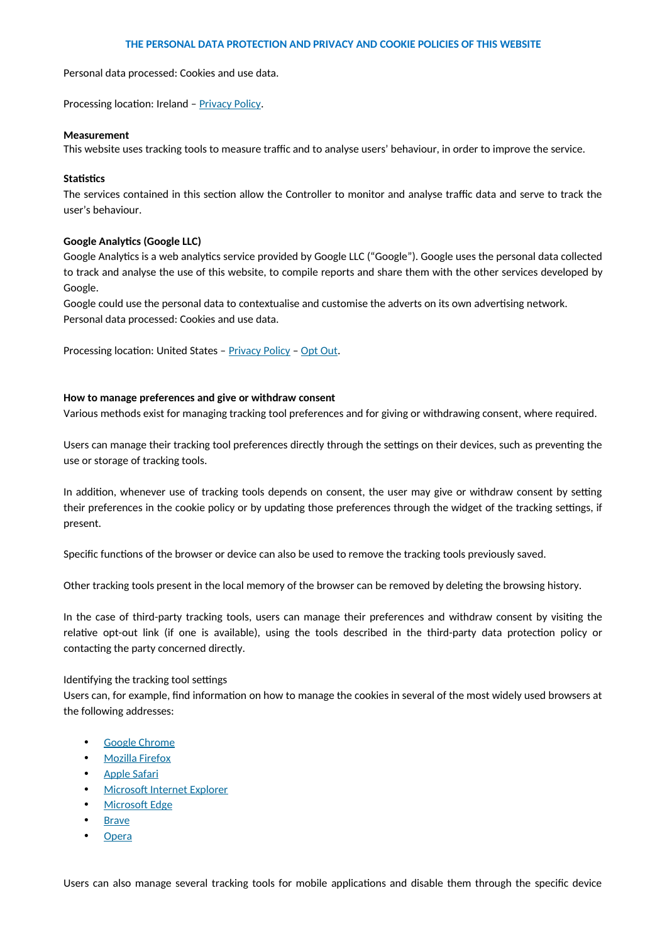Personal data processed: Cookies and use data.

Processing location: Ireland - [Privacy Policy](https://policies.google.com/privacy).

#### **Measurement**

This website uses tracking tools to measure traffic and to analyse users' behaviour, in order to improve the service.

### **Statistics**

The services contained in this section allow the Controller to monitor and analyse traffic data and serve to track the user's behaviour.

#### **Google Analytics (Google LLC)**

Google Analytics is a web analytics service provided by Google LLC ("Google"). Google uses the personal data collected to track and analyse the use of this website, to compile reports and share them with the other services developed by Google.

Google could use the personal data to contextualise and customise the adverts on its own advertising network. Personal data processed: Cookies and use data.

Processing location: United States – [Privacy Policy](https://policies.google.com/privacy) – [Opt Out](https://tools.google.com/dlpage/gaoptout?hl=it).

#### **How to manage preferences and give or withdraw consent**

Various methods exist for managing tracking tool preferences and for giving or withdrawing consent, where required.

Users can manage their tracking tool preferences directly through the settings on their devices, such as preventing the use or storage of tracking tools.

In addition, whenever use of tracking tools depends on consent, the user may give or withdraw consent by setting their preferences in the cookie policy or by updating those preferences through the widget of the tracking settings, if present.

Specific functions of the browser or device can also be used to remove the tracking tools previously saved.

Other tracking tools present in the local memory of the browser can be removed by deleting the browsing history.

In the case of third-party tracking tools, users can manage their preferences and withdraw consent by visiting the relative opt-out link (if one is available), using the tools described in the third-party data protection policy or contacting the party concerned directly.

### Identifying the tracking tool settings

Users can, for example, find information on how to manage the cookies in several of the most widely used browsers at the following addresses:

- [Google Chrome](https://support.google.com/chrome/answer/95647?hl=it&p=cpn_cookies)
- [Mozilla Firefox](https://support.mozilla.org/it/kb/Attivare%20e%20disattivare%20i%20cookie)
- • [Apple Safari](https://support.apple.com/it-it/guide/safari/manage-cookies-and-website-data-sfri11471/)
- [Microsoft Internet Explorer](http://windows.microsoft.com/it-it/windows-vista/block-or-allow-cookies)
- • [Microsoft Edge](https://support.microsoft.com/it-it/help/4027947)
- **Brave**
- **Opera**

Users can also manage several tracking tools for mobile applications and disable them through the specific device